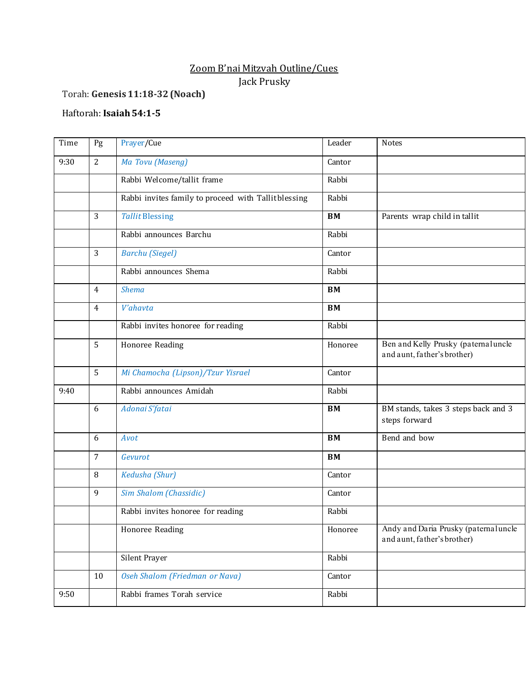## Zoom B'nai Mitzvah Outline/Cues Jack Prusky

Torah: **Genesis 11:18-32(Noach)**

## Haftorah: **Isaiah 54:1-5**

| Parents wrap child in tallit                                        |
|---------------------------------------------------------------------|
|                                                                     |
|                                                                     |
|                                                                     |
|                                                                     |
|                                                                     |
|                                                                     |
|                                                                     |
|                                                                     |
|                                                                     |
|                                                                     |
|                                                                     |
| Ben and Kelly Prusky (paternal uncle<br>and aunt, father's brother) |
|                                                                     |
|                                                                     |
| BM stands, takes 3 steps back and 3<br>steps forward                |
| Bend and bow                                                        |
|                                                                     |
|                                                                     |
|                                                                     |
|                                                                     |
| Andy and Daria Prusky (paternaluncle<br>and aunt, father's brother) |
|                                                                     |
|                                                                     |
|                                                                     |
|                                                                     |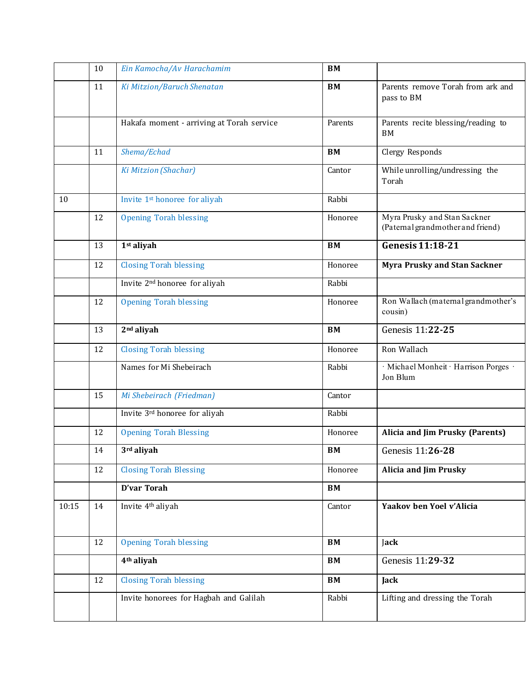|       | 10 | Ein Kamocha/Av Harachamim                 | BM            |                                                                   |
|-------|----|-------------------------------------------|---------------|-------------------------------------------------------------------|
|       | 11 | Ki Mitzion/Baruch Shenatan                | BM            | Parents remove Torah from ark and<br>pass to BM                   |
|       |    | Hakafa moment - arriving at Torah service | Parents       | Parents recite blessing/reading to<br><b>BM</b>                   |
|       | 11 | Shema/Echad                               | BM            | Clergy Responds                                                   |
|       |    | <b>Ki Mitzion (Shachar)</b>               | Cantor        | While unrolling/undressing the<br>Torah                           |
| 10    |    | Invite 1 <sup>st</sup> honoree for aliyah | Rabbi         |                                                                   |
|       | 12 | <b>Opening Torah blessing</b>             | Honoree       | Myra Prusky and Stan Sackner<br>(Paternal grandmother and friend) |
|       | 13 | 1 <sup>st</sup> aliyah                    | BM            | Genesis $11:18-21$                                                |
|       | 12 | <b>Closing Torah blessing</b>             | Honoree       | <b>Myra Prusky and Stan Sackner</b>                               |
|       |    | Invite 2 <sup>nd</sup> honoree for aliyah | Rabbi         |                                                                   |
|       | 12 | <b>Opening Torah blessing</b>             | Honoree       | Ron Wallach (maternal grandmother's<br>cousin)                    |
|       | 13 | 2 <sup>nd</sup> aliyah                    | BM            | Genesis 11:22-25                                                  |
|       | 12 | <b>Closing Torah blessing</b>             | Honoree       | Ron Wallach                                                       |
|       |    | Names for Mi Shebeirach                   | Rabbi         | · Michael Monheit · Harrison Porges ·<br>Jon Blum                 |
|       | 15 | Mi Shebeirach (Friedman)                  | Cantor        |                                                                   |
|       |    | Invite 3rd honoree for aliyah             | Rabbi         |                                                                   |
|       | 12 | <b>Opening Torah Blessing</b>             | Honoree       | Alicia and Jim Prusky (Parents)                                   |
|       | 14 | 3rd aliyah                                | BM            | Genesis 11:26-28                                                  |
|       | 12 | <b>Closing Torah Blessing</b>             | Honoree       | Alicia and Jim Prusky                                             |
|       |    | D'var Torah                               | $\mathbf{BM}$ |                                                                   |
| 10:15 | 14 | Invite 4 <sup>th</sup> aliyah             | Cantor        | Yaakov ben Yoel v'Alicia                                          |
|       | 12 | <b>Opening Torah blessing</b>             | BM            | Jack                                                              |
|       |    | 4 <sup>th</sup> aliyah                    | BM            | Genesis 11:29-32                                                  |
|       | 12 | <b>Closing Torah blessing</b>             | BM            | Jack                                                              |
|       |    | Invite honorees for Hagbah and Galilah    | Rabbi         | Lifting and dressing the Torah                                    |